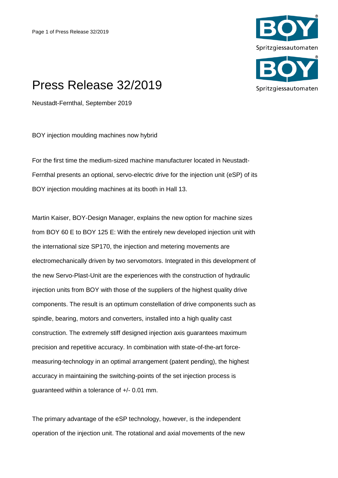

## Press Release 32/2019

Neustadt-Fernthal, September 2019

BOY injection moulding machines now hybrid

For the first time the medium-sized machine manufacturer located in Neustadt-Fernthal presents an optional, servo-electric drive for the injection unit (eSP) of its BOY injection moulding machines at its booth in Hall 13.

Martin Kaiser, BOY-Design Manager, explains the new option for machine sizes from BOY 60 E to BOY 125 E: With the entirely new developed injection unit with the international size SP170, the injection and metering movements are electromechanically driven by two servomotors. Integrated in this development of the new Servo-Plast-Unit are the experiences with the construction of hydraulic injection units from BOY with those of the suppliers of the highest quality drive components. The result is an optimum constellation of drive components such as spindle, bearing, motors and converters, installed into a high quality cast construction. The extremely stiff designed injection axis guarantees maximum precision and repetitive accuracy. In combination with state-of-the-art forcemeasuring-technology in an optimal arrangement (patent pending), the highest accuracy in maintaining the switching-points of the set injection process is guaranteed within a tolerance of +/- 0.01 mm.

The primary advantage of the eSP technology, however, is the independent operation of the injection unit. The rotational and axial movements of the new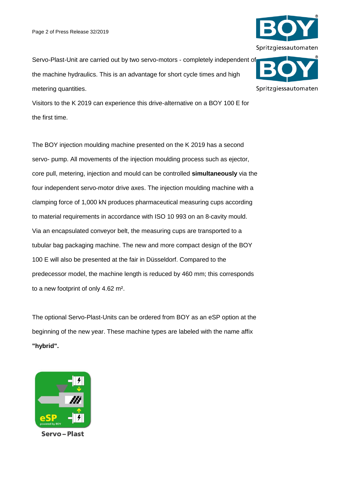

Visitors to the K 2019 can experience this drive-alternative on a BOY 100 E for the first time.

The BOY injection moulding machine presented on the K 2019 has a second servo- pump. All movements of the injection moulding process such as ejector, core pull, metering, injection and mould can be controlled **simultaneously** via the four independent servo-motor drive axes. The injection moulding machine with a clamping force of 1,000 kN produces pharmaceutical measuring cups according to material requirements in accordance with ISO 10 993 on an 8-cavity mould. Via an encapsulated conveyor belt, the measuring cups are transported to a tubular bag packaging machine. The new and more compact design of the BOY 100 E will also be presented at the fair in Düsseldorf. Compared to the predecessor model, the machine length is reduced by 460 mm; this corresponds to a new footprint of only 4.62 m².

The optional Servo-Plast-Units can be ordered from BOY as an eSP option at the beginning of the new year. These machine types are labeled with the name affix **"hybrid".**







Spritzgiessautomaten